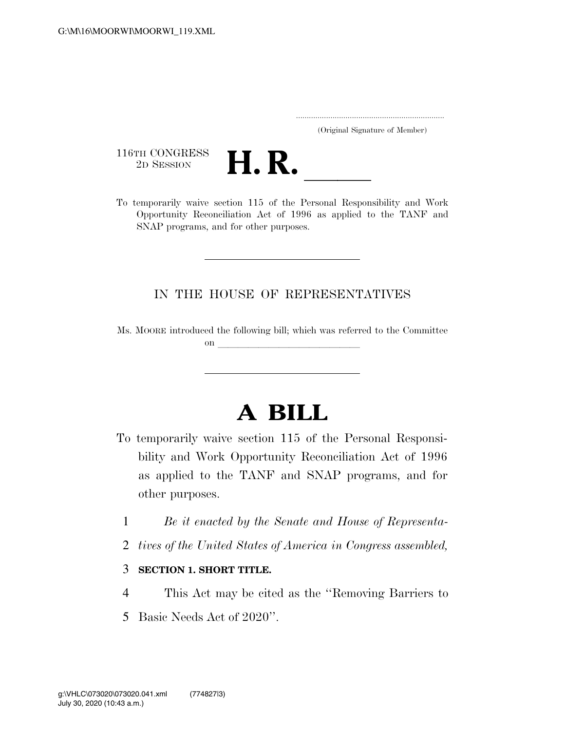..................................................................... (Original Signature of Member)

116TH CONGRESS<br>2D SESSION



116TH CONGRESS<br>
2D SESSION<br>
To temporarily waive section 115 of the Personal Responsibility and Work Opportunity Reconciliation Act of 1996 as applied to the TANF and SNAP programs, and for other purposes.

## IN THE HOUSE OF REPRESENTATIVES

Ms. MOORE introduced the following bill; which was referred to the Committee on  $\overline{\qquad \qquad }$ 

## **A BILL**

- To temporarily waive section 115 of the Personal Responsibility and Work Opportunity Reconciliation Act of 1996 as applied to the TANF and SNAP programs, and for other purposes.
	- 1 *Be it enacted by the Senate and House of Representa-*
	- 2 *tives of the United States of America in Congress assembled,*
	- 3 **SECTION 1. SHORT TITLE.**
	- 4 This Act may be cited as the ''Removing Barriers to
	- 5 Basic Needs Act of 2020''.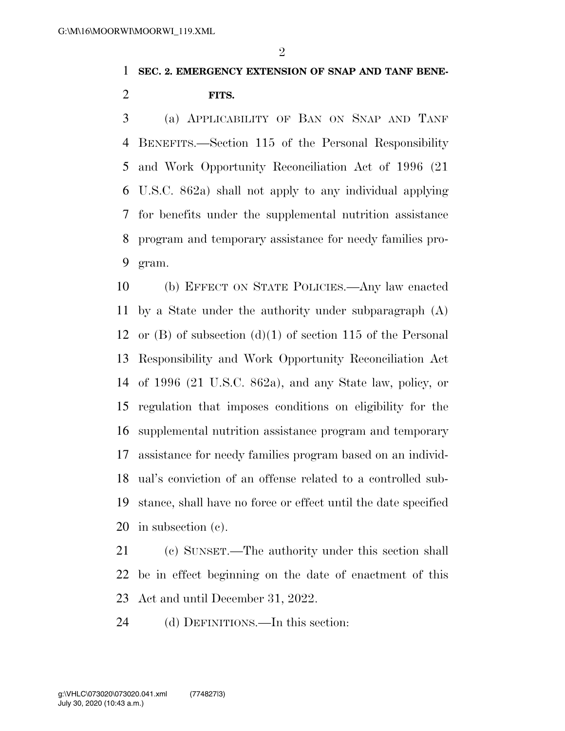$\mathfrak{D}$ 

## **SEC. 2. EMERGENCY EXTENSION OF SNAP AND TANF BENE-FITS.**

 (a) APPLICABILITY OF BAN ON SNAP AND TANF BENEFITS.—Section 115 of the Personal Responsibility and Work Opportunity Reconciliation Act of 1996 (21 U.S.C. 862a) shall not apply to any individual applying for benefits under the supplemental nutrition assistance program and temporary assistance for needy families pro-gram.

 (b) EFFECT ON STATE POLICIES.—Any law enacted by a State under the authority under subparagraph (A) or (B) of subsection (d)(1) of section 115 of the Personal Responsibility and Work Opportunity Reconciliation Act of 1996 (21 U.S.C. 862a), and any State law, policy, or regulation that imposes conditions on eligibility for the supplemental nutrition assistance program and temporary assistance for needy families program based on an individ- ual's conviction of an offense related to a controlled sub- stance, shall have no force or effect until the date specified in subsection (c).

 (c) SUNSET.—The authority under this section shall be in effect beginning on the date of enactment of this Act and until December 31, 2022.

(d) DEFINITIONS.—In this section: